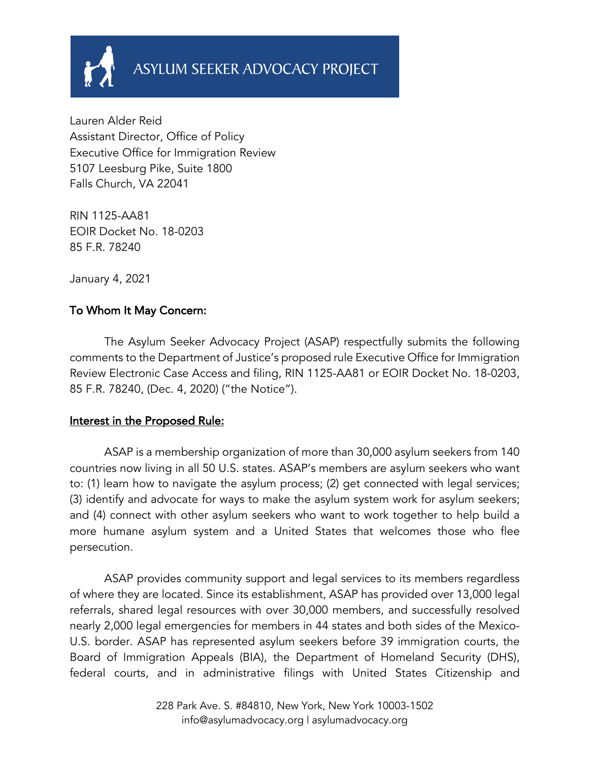

Lauren Alder Reid Assistant Director, Office of Policy Executive Office for Immigration Review 5107 Leesburg Pike, Suite 1800 Falls Church, VA 22041

RIN 1125-AA81 EOIR Docket No. 18-0203 85 F.R. 78240

January 4, 2021

### To Whom It May Concern:

 The Asylum Seeker Advocacy Project (ASAP) respectfully submits the following comments to the Department of Justice's proposed rule Executive Office for Immigration Review Electronic Case Access and filing, RIN 1125-AA81 or EOIR Docket No. 18-0203, 85 F.R. 78240, (Dec. 4, 2020) ("the Notice").

#### Interest in the Proposed Rule:

ASAP is a membership organization of more than 30,000 asylum seekers from 140 countries now living in all 50 U.S. states. ASAP's members are asylum seekers who want to: (1) learn how to navigate the asylum process; (2) get connected with legal services; (3) identify and advocate for ways to make the asylum system work for asylum seekers; and (4) connect with other asylum seekers who want to work together to help build a more humane asylum system and a United States that welcomes those who flee persecution.

ASAP provides community support and legal services to its members regardless of where they are located. Since its establishment, ASAP has provided over 13,000 legal referrals, shared legal resources with over 30,000 members, and successfully resolved nearly 2,000 legal emergencies for members in 44 states and both sides of the Mexico-U.S. border. ASAP has represented asylum seekers before 39 immigration courts, the Board of Immigration Appeals (BIA), the Department of Homeland Security (DHS), federal courts, and in administrative filings with United States Citizenship and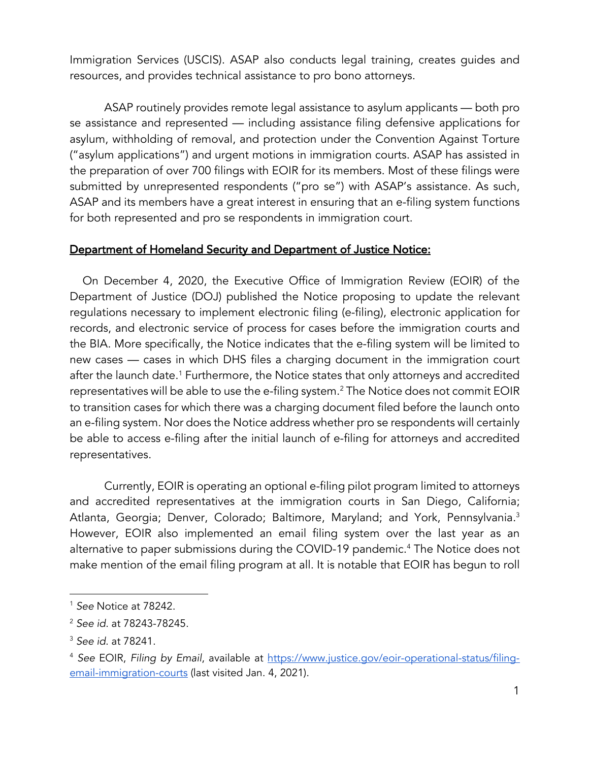Immigration Services (USCIS). ASAP also conducts legal training, creates guides and resources, and provides technical assistance to pro bono attorneys.

ASAP routinely provides remote legal assistance to asylum applicants — both pro se assistance and represented — including assistance filing defensive applications for asylum, withholding of removal, and protection under the Convention Against Torture ("asylum applications") and urgent motions in immigration courts. ASAP has assisted in the preparation of over 700 filings with EOIR for its members. Most of these filings were submitted by unrepresented respondents ("pro se") with ASAP's assistance. As such, ASAP and its members have a great interest in ensuring that an e-filing system functions for both represented and pro se respondents in immigration court.

#### Department of Homeland Security and Department of Justice Notice:

 On December 4, 2020, the Executive Office of Immigration Review (EOIR) of the Department of Justice (DOJ) published the Notice proposing to update the relevant regulations necessary to implement electronic filing (e-filing), electronic application for records, and electronic service of process for cases before the immigration courts and the BIA. More specifically, the Notice indicates that the e-filing system will be limited to new cases — cases in which DHS files a charging document in the immigration court after the launch date.<sup>1</sup> Furthermore, the Notice states that only attorneys and accredited representatives will be able to use the e-filing system.<sup>2</sup> The Notice does not commit EOIR to transition cases for which there was a charging document filed before the launch onto an e-filing system. Nor does the Notice address whether pro se respondents will certainly be able to access e-filing after the initial launch of e-filing for attorneys and accredited representatives.

Currently, EOIR is operating an optional e-filing pilot program limited to attorneys and accredited representatives at the immigration courts in San Diego, California; Atlanta, Georgia; Denver, Colorado; Baltimore, Maryland; and York, Pennsylvania.<sup>3</sup> However, EOIR also implemented an email filing system over the last year as an alternative to paper submissions during the COVID-19 pandemic.<sup>4</sup> The Notice does not make mention of the email filing program at all. It is notable that EOIR has begun to roll

<sup>1</sup> *See* Notice at 78242.

<sup>2</sup> *See id.* at 78243-78245.

<sup>3</sup> *See id*. at 78241.

<sup>4</sup> *See* EOIR, *Filing by Email*, available at https://www.justice.gov/eoir-operational-status/filingemail-immigration-courts (last visited Jan. 4, 2021).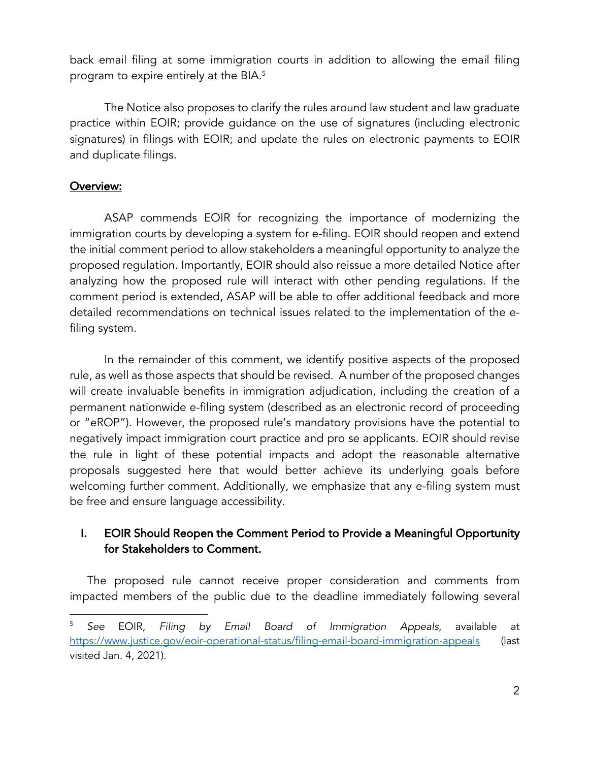back email filing at some immigration courts in addition to allowing the email filing program to expire entirely at the BIA.<sup>5</sup>

The Notice also proposes to clarify the rules around law student and law graduate practice within EOIR; provide guidance on the use of signatures (including electronic signatures) in filings with EOIR; and update the rules on electronic payments to EOIR and duplicate filings.

### Overview:

ASAP commends EOIR for recognizing the importance of modernizing the immigration courts by developing a system for e-filing. EOIR should reopen and extend the initial comment period to allow stakeholders a meaningful opportunity to analyze the proposed regulation. Importantly, EOIR should also reissue a more detailed Notice after analyzing how the proposed rule will interact with other pending regulations. If the comment period is extended, ASAP will be able to offer additional feedback and more detailed recommendations on technical issues related to the implementation of the efiling system.

In the remainder of this comment, we identify positive aspects of the proposed rule, as well as those aspects that should be revised. A number of the proposed changes will create invaluable benefits in immigration adjudication, including the creation of a permanent nationwide e-filing system (described as an electronic record of proceeding or "eROP"). However, the proposed rule's mandatory provisions have the potential to negatively impact immigration court practice and pro se applicants. EOIR should revise the rule in light of these potential impacts and adopt the reasonable alternative proposals suggested here that would better achieve its underlying goals before welcoming further comment. Additionally, we emphasize that any e-filing system must be free and ensure language accessibility.

### I. EOIR Should Reopen the Comment Period to Provide a Meaningful Opportunity for Stakeholders to Comment.

The proposed rule cannot receive proper consideration and comments from impacted members of the public due to the deadline immediately following several

<sup>5</sup> *See* EOIR, *Filing by Email Board of Immigration Appeals*, available at https://www.justice.gov/eoir-operational-status/filing-email-board-immigration-appeals (last visited Jan. 4, 2021).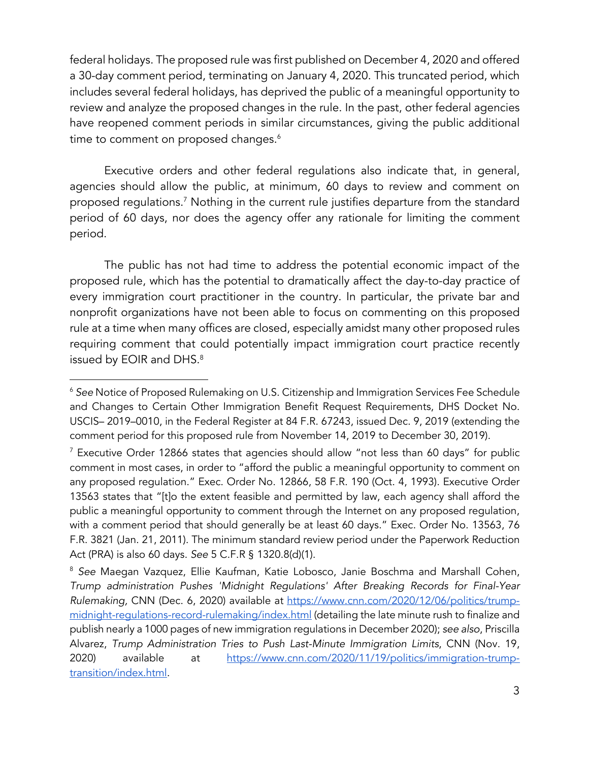federal holidays. The proposed rule was first published on December 4, 2020 and offered a 30-day comment period, terminating on January 4, 2020. This truncated period, which includes several federal holidays, has deprived the public of a meaningful opportunity to review and analyze the proposed changes in the rule. In the past, other federal agencies have reopened comment periods in similar circumstances, giving the public additional time to comment on proposed changes.<sup>6</sup>

Executive orders and other federal regulations also indicate that, in general, agencies should allow the public, at minimum, 60 days to review and comment on proposed regulations.<sup>7</sup> Nothing in the current rule justifies departure from the standard period of 60 days, nor does the agency offer any rationale for limiting the comment period.

The public has not had time to address the potential economic impact of the proposed rule, which has the potential to dramatically affect the day-to-day practice of every immigration court practitioner in the country. In particular, the private bar and nonprofit organizations have not been able to focus on commenting on this proposed rule at a time when many offices are closed, especially amidst many other proposed rules requiring comment that could potentially impact immigration court practice recently issued by EOIR and DHS.<sup>8</sup>

<sup>6</sup> *See* Notice of Proposed Rulemaking on U.S. Citizenship and Immigration Services Fee Schedule and Changes to Certain Other Immigration Benefit Request Requirements, DHS Docket No. USCIS– 2019–0010, in the Federal Register at 84 F.R. 67243, issued Dec. 9, 2019 (extending the comment period for this proposed rule from November 14, 2019 to December 30, 2019).

<sup>7</sup> Executive Order 12866 states that agencies should allow "not less than 60 days" for public comment in most cases, in order to "afford the public a meaningful opportunity to comment on any proposed regulation." Exec. Order No. 12866, 58 F.R. 190 (Oct. 4, 1993). Executive Order 13563 states that "[t]o the extent feasible and permitted by law, each agency shall afford the public a meaningful opportunity to comment through the Internet on any proposed regulation, with a comment period that should generally be at least 60 days." Exec. Order No. 13563, 76 F.R. 3821 (Jan. 21, 2011). The minimum standard review period under the Paperwork Reduction Act (PRA) is also 60 days. *See* 5 C.F.R § 1320.8(d)(1).

<sup>&</sup>lt;sup>8</sup> See Maegan Vazquez, Ellie Kaufman, Katie Lobosco, Janie Boschma and Marshall Cohen, *Trump administration Pushes 'Midnight Regulations' After Breaking Records for Final-Year Rulemaking,* CNN (Dec. 6, 2020) available at https://www.cnn.com/2020/12/06/politics/trumpmidnight-regulations-record-rulemaking/index.html (detailing the late minute rush to finalize and publish nearly a 1000 pages of new immigration regulations in December 2020); *see also*, Priscilla Alvarez, *Trump Administration Tries to Push Last-Minute Immigration Limits*, CNN (Nov. 19, 2020) available at https://www.cnn.com/2020/11/19/politics/immigration-trumptransition/index.html.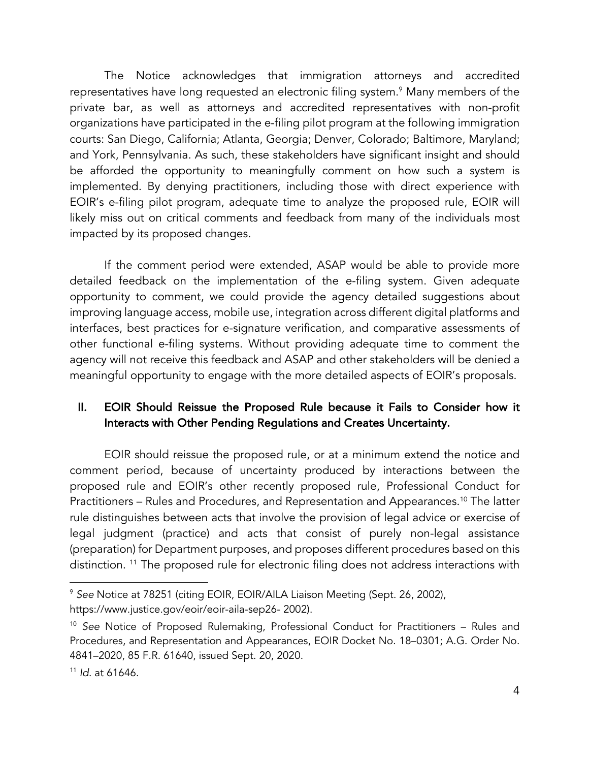The Notice acknowledges that immigration attorneys and accredited representatives have long requested an electronic filing system.<sup>9</sup> Many members of the private bar, as well as attorneys and accredited representatives with non-profit organizations have participated in the e-filing pilot program at the following immigration courts: San Diego, California; Atlanta, Georgia; Denver, Colorado; Baltimore, Maryland; and York, Pennsylvania. As such, these stakeholders have significant insight and should be afforded the opportunity to meaningfully comment on how such a system is implemented. By denying practitioners, including those with direct experience with EOIR's e-filing pilot program, adequate time to analyze the proposed rule, EOIR will likely miss out on critical comments and feedback from many of the individuals most impacted by its proposed changes.

If the comment period were extended, ASAP would be able to provide more detailed feedback on the implementation of the e-filing system. Given adequate opportunity to comment, we could provide the agency detailed suggestions about improving language access, mobile use, integration across different digital platforms and interfaces, best practices for e-signature verification, and comparative assessments of other functional e-filing systems. Without providing adequate time to comment the agency will not receive this feedback and ASAP and other stakeholders will be denied a meaningful opportunity to engage with the more detailed aspects of EOIR's proposals.

## II. EOIR Should Reissue the Proposed Rule because it Fails to Consider how it Interacts with Other Pending Regulations and Creates Uncertainty.

EOIR should reissue the proposed rule, or at a minimum extend the notice and comment period, because of uncertainty produced by interactions between the proposed rule and EOIR's other recently proposed rule, Professional Conduct for Practitioners – Rules and Procedures, and Representation and Appearances.<sup>10</sup> The latter rule distinguishes between acts that involve the provision of legal advice or exercise of legal judgment (practice) and acts that consist of purely non-legal assistance (preparation) for Department purposes, and proposes different procedures based on this distinction.<sup>11</sup> The proposed rule for electronic filing does not address interactions with

<sup>9</sup> *See* Notice at 78251 (citing EOIR, EOIR/AILA Liaison Meeting (Sept. 26, 2002), https://www.justice.gov/eoir/eoir-aila-sep26- 2002).

<sup>10</sup> *See* Notice of Proposed Rulemaking, Professional Conduct for Practitioners – Rules and Procedures, and Representation and Appearances, EOIR Docket No. 18–0301; A.G. Order No. 4841–2020, 85 F.R. 61640, issued Sept. 20, 2020.

<sup>11</sup> *Id*. at 61646.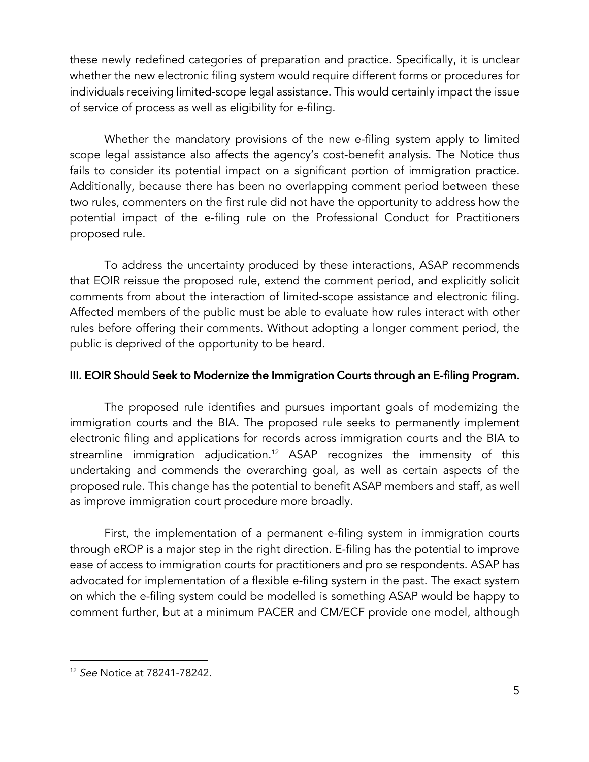these newly redefined categories of preparation and practice. Specifically, it is unclear whether the new electronic filing system would require different forms or procedures for individuals receiving limited-scope legal assistance. This would certainly impact the issue of service of process as well as eligibility for e-filing.

Whether the mandatory provisions of the new e-filing system apply to limited scope legal assistance also affects the agency's cost-benefit analysis. The Notice thus fails to consider its potential impact on a significant portion of immigration practice. Additionally, because there has been no overlapping comment period between these two rules, commenters on the first rule did not have the opportunity to address how the potential impact of the e-filing rule on the Professional Conduct for Practitioners proposed rule.

To address the uncertainty produced by these interactions, ASAP recommends that EOIR reissue the proposed rule, extend the comment period, and explicitly solicit comments from about the interaction of limited-scope assistance and electronic filing. Affected members of the public must be able to evaluate how rules interact with other rules before offering their comments. Without adopting a longer comment period, the public is deprived of the opportunity to be heard.

#### III. EOIR Should Seek to Modernize the Immigration Courts through an E-filing Program.

The proposed rule identifies and pursues important goals of modernizing the immigration courts and the BIA. The proposed rule seeks to permanently implement electronic filing and applications for records across immigration courts and the BIA to streamline immigration adjudication.<sup>12</sup> ASAP recognizes the immensity of this undertaking and commends the overarching goal, as well as certain aspects of the proposed rule. This change has the potential to benefit ASAP members and staff, as well as improve immigration court procedure more broadly.

First, the implementation of a permanent e-filing system in immigration courts through eROP is a major step in the right direction. E-filing has the potential to improve ease of access to immigration courts for practitioners and pro se respondents. ASAP has advocated for implementation of a flexible e-filing system in the past. The exact system on which the e-filing system could be modelled is something ASAP would be happy to comment further, but at a minimum PACER and CM/ECF provide one model, although

<sup>12</sup> *See* Notice at 78241-78242.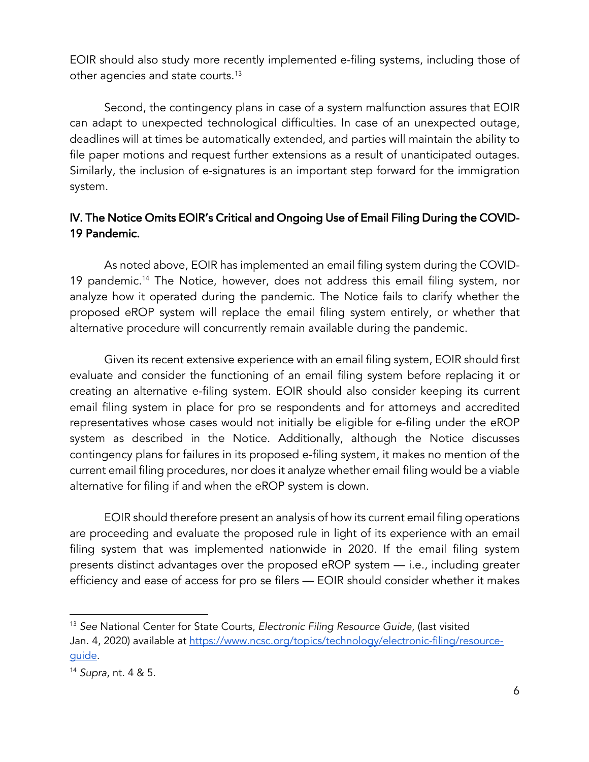EOIR should also study more recently implemented e-filing systems, including those of other agencies and state courts.<sup>13</sup>

Second, the contingency plans in case of a system malfunction assures that EOIR can adapt to unexpected technological difficulties. In case of an unexpected outage, deadlines will at times be automatically extended, and parties will maintain the ability to file paper motions and request further extensions as a result of unanticipated outages. Similarly, the inclusion of e-signatures is an important step forward for the immigration system.

## IV. The Notice Omits EOIR's Critical and Ongoing Use of Email Filing During the COVID-19 Pandemic.

 As noted above, EOIR has implemented an email filing system during the COVID-19 pandemic.14 The Notice, however, does not address this email filing system, nor analyze how it operated during the pandemic. The Notice fails to clarify whether the proposed eROP system will replace the email filing system entirely, or whether that alternative procedure will concurrently remain available during the pandemic.

Given its recent extensive experience with an email filing system, EOIR should first evaluate and consider the functioning of an email filing system before replacing it or creating an alternative e-filing system. EOIR should also consider keeping its current email filing system in place for pro se respondents and for attorneys and accredited representatives whose cases would not initially be eligible for e-filing under the eROP system as described in the Notice. Additionally, although the Notice discusses contingency plans for failures in its proposed e-filing system, it makes no mention of the current email filing procedures, nor does it analyze whether email filing would be a viable alternative for filing if and when the eROP system is down.

EOIR should therefore present an analysis of how its current email filing operations are proceeding and evaluate the proposed rule in light of its experience with an email filing system that was implemented nationwide in 2020. If the email filing system presents distinct advantages over the proposed eROP system — i.e., including greater efficiency and ease of access for pro se filers — EOIR should consider whether it makes

<sup>13</sup> *See* National Center for State Courts, *Electronic Filing Resource Guide*, (last visited Jan. 4, 2020) available at https://www.ncsc.org/topics/technology/electronic-filing/resourceguide.

<sup>14</sup> *Supra*, nt. 4 & 5.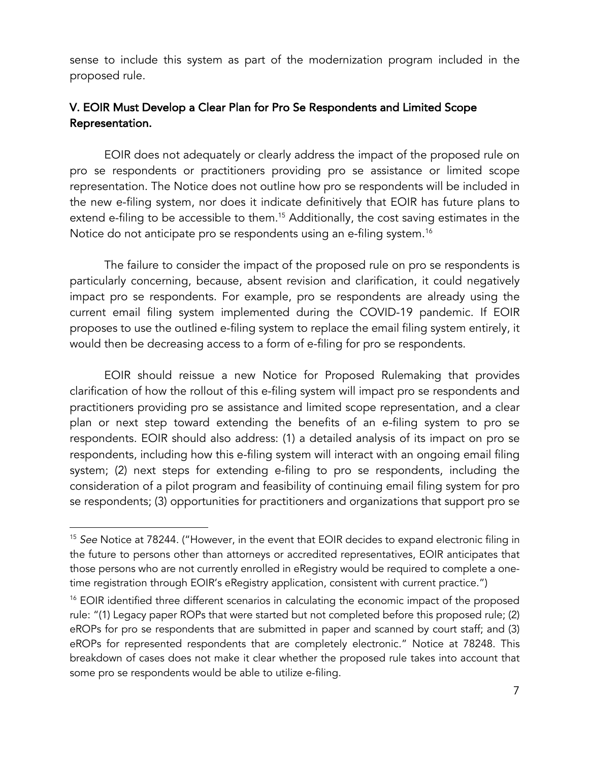sense to include this system as part of the modernization program included in the proposed rule.

## V. EOIR Must Develop a Clear Plan for Pro Se Respondents and Limited Scope Representation.

EOIR does not adequately or clearly address the impact of the proposed rule on pro se respondents or practitioners providing pro se assistance or limited scope representation. The Notice does not outline how pro se respondents will be included in the new e-filing system, nor does it indicate definitively that EOIR has future plans to extend e-filing to be accessible to them.<sup>15</sup> Additionally, the cost saving estimates in the Notice do not anticipate pro se respondents using an e-filing system.<sup>16</sup>

The failure to consider the impact of the proposed rule on pro se respondents is particularly concerning, because, absent revision and clarification, it could negatively impact pro se respondents. For example, pro se respondents are already using the current email filing system implemented during the COVID-19 pandemic. If EOIR proposes to use the outlined e-filing system to replace the email filing system entirely, it would then be decreasing access to a form of e-filing for pro se respondents.

EOIR should reissue a new Notice for Proposed Rulemaking that provides clarification of how the rollout of this e-filing system will impact pro se respondents and practitioners providing pro se assistance and limited scope representation, and a clear plan or next step toward extending the benefits of an e-filing system to pro se respondents. EOIR should also address: (1) a detailed analysis of its impact on pro se respondents, including how this e-filing system will interact with an ongoing email filing system; (2) next steps for extending e-filing to pro se respondents, including the consideration of a pilot program and feasibility of continuing email filing system for pro se respondents; (3) opportunities for practitioners and organizations that support pro se

<sup>15</sup> *See* Notice at 78244. ("However, in the event that EOIR decides to expand electronic filing in the future to persons other than attorneys or accredited representatives, EOIR anticipates that those persons who are not currently enrolled in eRegistry would be required to complete a onetime registration through EOIR's eRegistry application, consistent with current practice.")

<sup>&</sup>lt;sup>16</sup> EOIR identified three different scenarios in calculating the economic impact of the proposed rule: "(1) Legacy paper ROPs that were started but not completed before this proposed rule; (2) eROPs for pro se respondents that are submitted in paper and scanned by court staff; and (3) eROPs for represented respondents that are completely electronic." Notice at 78248. This breakdown of cases does not make it clear whether the proposed rule takes into account that some pro se respondents would be able to utilize e-filing.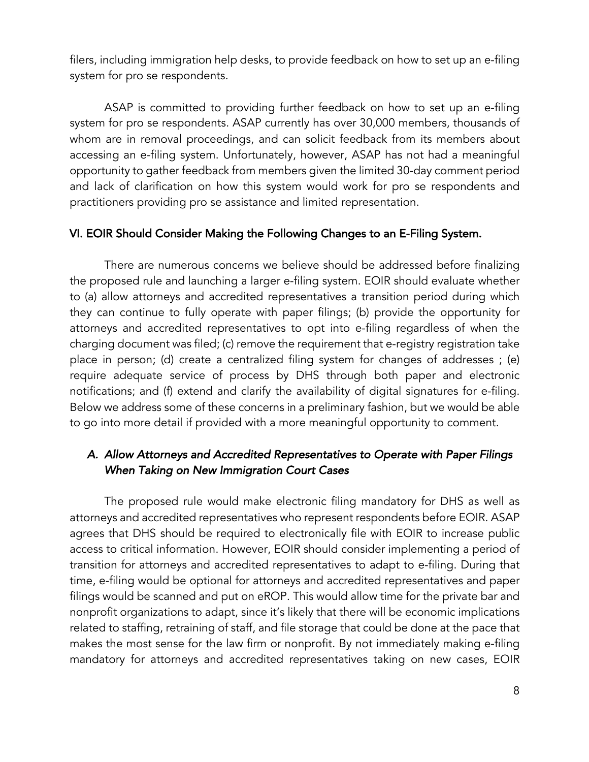filers, including immigration help desks, to provide feedback on how to set up an e-filing system for pro se respondents.

ASAP is committed to providing further feedback on how to set up an e-filing system for pro se respondents. ASAP currently has over 30,000 members, thousands of whom are in removal proceedings, and can solicit feedback from its members about accessing an e-filing system. Unfortunately, however, ASAP has not had a meaningful opportunity to gather feedback from members given the limited 30-day comment period and lack of clarification on how this system would work for pro se respondents and practitioners providing pro se assistance and limited representation.

#### VI. EOIR Should Consider Making the Following Changes to an E-Filing System.

There are numerous concerns we believe should be addressed before finalizing the proposed rule and launching a larger e-filing system. EOIR should evaluate whether to (a) allow attorneys and accredited representatives a transition period during which they can continue to fully operate with paper filings; (b) provide the opportunity for attorneys and accredited representatives to opt into e-filing regardless of when the charging document was filed; (c) remove the requirement that e-registry registration take place in person; (d) create a centralized filing system for changes of addresses ; (e) require adequate service of process by DHS through both paper and electronic notifications; and (f) extend and clarify the availability of digital signatures for e-filing. Below we address some of these concerns in a preliminary fashion, but we would be able to go into more detail if provided with a more meaningful opportunity to comment.

### *A. Allow Attorneys and Accredited Representatives to Operate with Paper Filings When Taking on New Immigration Court Cases*

The proposed rule would make electronic filing mandatory for DHS as well as attorneys and accredited representatives who represent respondents before EOIR. ASAP agrees that DHS should be required to electronically file with EOIR to increase public access to critical information. However, EOIR should consider implementing a period of transition for attorneys and accredited representatives to adapt to e-filing. During that time, e-filing would be optional for attorneys and accredited representatives and paper filings would be scanned and put on eROP. This would allow time for the private bar and nonprofit organizations to adapt, since it's likely that there will be economic implications related to staffing, retraining of staff, and file storage that could be done at the pace that makes the most sense for the law firm or nonprofit. By not immediately making e-filing mandatory for attorneys and accredited representatives taking on new cases, EOIR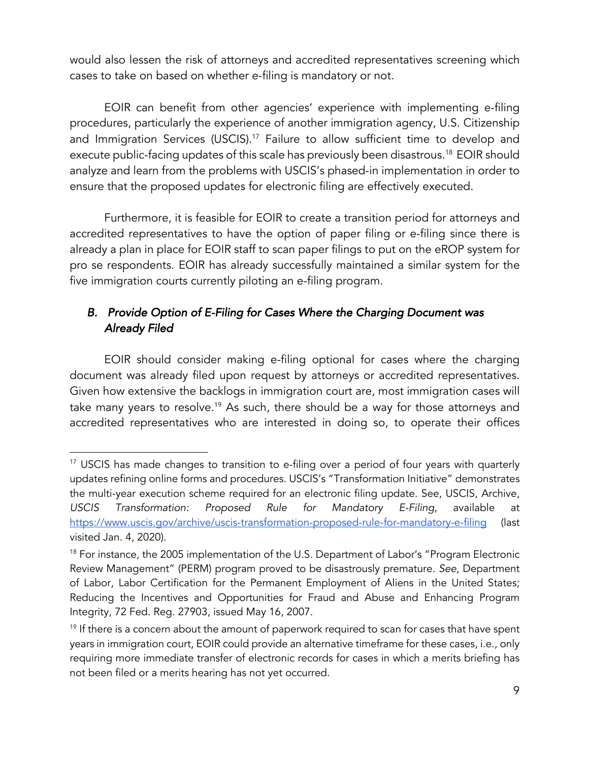would also lessen the risk of attorneys and accredited representatives screening which cases to take on based on whether e-filing is mandatory or not.

EOIR can benefit from other agencies' experience with implementing e-filing procedures, particularly the experience of another immigration agency, U.S. Citizenship and Immigration Services (USCIS).<sup>17</sup> Failure to allow sufficient time to develop and execute public-facing updates of this scale has previously been disastrous.18 EOIR should analyze and learn from the problems with USCIS's phased-in implementation in order to ensure that the proposed updates for electronic filing are effectively executed.

Furthermore, it is feasible for EOIR to create a transition period for attorneys and accredited representatives to have the option of paper filing or e-filing since there is already a plan in place for EOIR staff to scan paper filings to put on the eROP system for pro se respondents. EOIR has already successfully maintained a similar system for the five immigration courts currently piloting an e-filing program.

# *B. Provide Option of E-Filing for Cases Where the Charging Document was Already Filed*

EOIR should consider making e-filing optional for cases where the charging document was already filed upon request by attorneys or accredited representatives. Given how extensive the backlogs in immigration court are, most immigration cases will take many years to resolve.<sup>19</sup> As such, there should be a way for those attorneys and accredited representatives who are interested in doing so, to operate their offices

<sup>&</sup>lt;sup>17</sup> USCIS has made changes to transition to e-filing over a period of four years with quarterly updates refining online forms and procedures. USCIS's "Transformation Initiative" demonstrates the multi-year execution scheme required for an electronic filing update. See, USCIS, Archive, *USCIS Transformation: Proposed Rule for Mandatory E-Filing*, available at https://www.uscis.gov/archive/uscis-transformation-proposed-rule-for-mandatory-e-filing (last visited Jan. 4, 2020).

<sup>&</sup>lt;sup>18</sup> For instance, the 2005 implementation of the U.S. Department of Labor's "Program Electronic Review Management" (PERM) program proved to be disastrously premature. *See*, Department of Labor, Labor Certification for the Permanent Employment of Aliens in the United States; Reducing the Incentives and Opportunities for Fraud and Abuse and Enhancing Program Integrity, 72 Fed. Reg. 27903, issued May 16, 2007.

 $19$  If there is a concern about the amount of paperwork required to scan for cases that have spent years in immigration court, EOIR could provide an alternative timeframe for these cases, i.e., only requiring more immediate transfer of electronic records for cases in which a merits briefing has not been filed or a merits hearing has not yet occurred.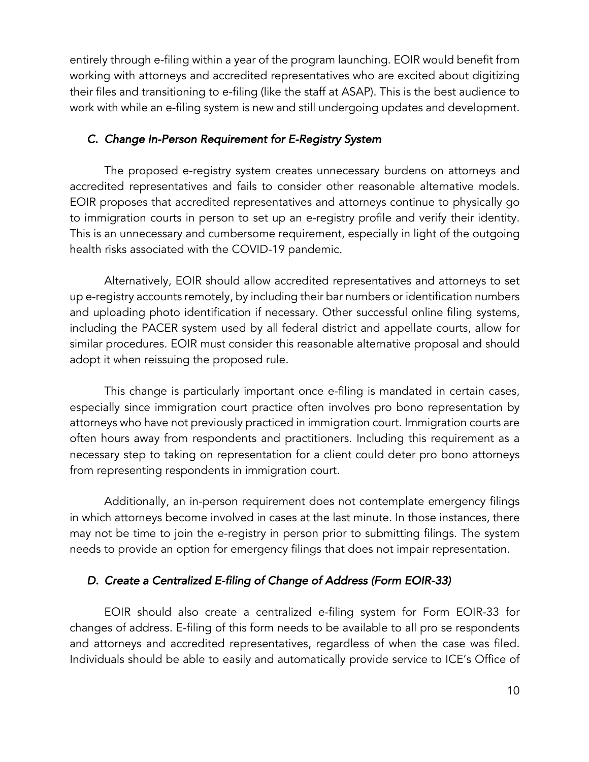entirely through e-filing within a year of the program launching. EOIR would benefit from working with attorneys and accredited representatives who are excited about digitizing their files and transitioning to e-filing (like the staff at ASAP). This is the best audience to work with while an e-filing system is new and still undergoing updates and development.

#### *C. Change In-Person Requirement for E-Registry System*

The proposed e-registry system creates unnecessary burdens on attorneys and accredited representatives and fails to consider other reasonable alternative models. EOIR proposes that accredited representatives and attorneys continue to physically go to immigration courts in person to set up an e-registry profile and verify their identity. This is an unnecessary and cumbersome requirement, especially in light of the outgoing health risks associated with the COVID-19 pandemic.

Alternatively, EOIR should allow accredited representatives and attorneys to set up e-registry accounts remotely, by including their bar numbers or identification numbers and uploading photo identification if necessary. Other successful online filing systems, including the PACER system used by all federal district and appellate courts, allow for similar procedures. EOIR must consider this reasonable alternative proposal and should adopt it when reissuing the proposed rule.

This change is particularly important once e-filing is mandated in certain cases, especially since immigration court practice often involves pro bono representation by attorneys who have not previously practiced in immigration court. Immigration courts are often hours away from respondents and practitioners. Including this requirement as a necessary step to taking on representation for a client could deter pro bono attorneys from representing respondents in immigration court.

Additionally, an in-person requirement does not contemplate emergency filings in which attorneys become involved in cases at the last minute. In those instances, there may not be time to join the e-registry in person prior to submitting filings. The system needs to provide an option for emergency filings that does not impair representation.

### *D. Create a Centralized E-filing of Change of Address (Form EOIR-33)*

EOIR should also create a centralized e-filing system for Form EOIR-33 for changes of address. E-filing of this form needs to be available to all pro se respondents and attorneys and accredited representatives, regardless of when the case was filed. Individuals should be able to easily and automatically provide service to ICE's Office of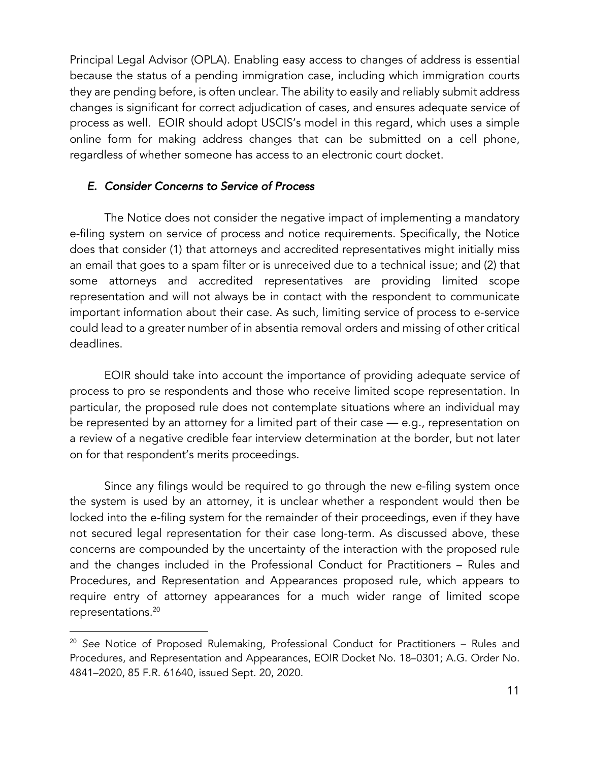Principal Legal Advisor (OPLA). Enabling easy access to changes of address is essential because the status of a pending immigration case, including which immigration courts they are pending before, is often unclear. The ability to easily and reliably submit address changes is significant for correct adjudication of cases, and ensures adequate service of process as well. EOIR should adopt USCIS's model in this regard, which uses a simple online form for making address changes that can be submitted on a cell phone, regardless of whether someone has access to an electronic court docket.

### *E. Consider Concerns to Service of Process*

The Notice does not consider the negative impact of implementing a mandatory e-filing system on service of process and notice requirements. Specifically, the Notice does that consider (1) that attorneys and accredited representatives might initially miss an email that goes to a spam filter or is unreceived due to a technical issue; and (2) that some attorneys and accredited representatives are providing limited scope representation and will not always be in contact with the respondent to communicate important information about their case. As such, limiting service of process to e-service could lead to a greater number of in absentia removal orders and missing of other critical deadlines.

EOIR should take into account the importance of providing adequate service of process to pro se respondents and those who receive limited scope representation. In particular, the proposed rule does not contemplate situations where an individual may be represented by an attorney for a limited part of their case — e.g., representation on a review of a negative credible fear interview determination at the border, but not later on for that respondent's merits proceedings.

Since any filings would be required to go through the new e-filing system once the system is used by an attorney, it is unclear whether a respondent would then be locked into the e-filing system for the remainder of their proceedings, even if they have not secured legal representation for their case long-term. As discussed above, these concerns are compounded by the uncertainty of the interaction with the proposed rule and the changes included in the Professional Conduct for Practitioners – Rules and Procedures, and Representation and Appearances proposed rule, which appears to require entry of attorney appearances for a much wider range of limited scope representations.20

<sup>20</sup> *See* Notice of Proposed Rulemaking, Professional Conduct for Practitioners – Rules and Procedures, and Representation and Appearances, EOIR Docket No. 18–0301; A.G. Order No. 4841–2020, 85 F.R. 61640, issued Sept. 20, 2020.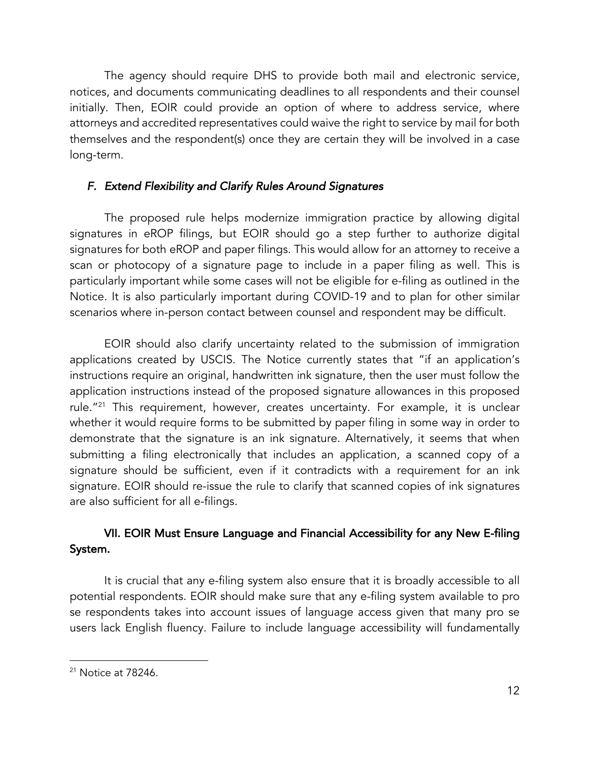The agency should require DHS to provide both mail and electronic service, notices, and documents communicating deadlines to all respondents and their counsel initially. Then, EOIR could provide an option of where to address service, where attorneys and accredited representatives could waive the right to service by mail for both themselves and the respondent(s) once they are certain they will be involved in a case long-term.

## *F. Extend Flexibility and Clarify Rules Around Signatures*

The proposed rule helps modernize immigration practice by allowing digital signatures in eROP filings, but EOIR should go a step further to authorize digital signatures for both eROP and paper filings. This would allow for an attorney to receive a scan or photocopy of a signature page to include in a paper filing as well. This is particularly important while some cases will not be eligible for e-filing as outlined in the Notice. It is also particularly important during COVID-19 and to plan for other similar scenarios where in-person contact between counsel and respondent may be difficult.

EOIR should also clarify uncertainty related to the submission of immigration applications created by USCIS. The Notice currently states that "if an application's instructions require an original, handwritten ink signature, then the user must follow the application instructions instead of the proposed signature allowances in this proposed rule."21 This requirement, however, creates uncertainty. For example, it is unclear whether it would require forms to be submitted by paper filing in some way in order to demonstrate that the signature is an ink signature. Alternatively, it seems that when submitting a filing electronically that includes an application, a scanned copy of a signature should be sufficient, even if it contradicts with a requirement for an ink signature. EOIR should re-issue the rule to clarify that scanned copies of ink signatures are also sufficient for all e-filings.

## VII. EOIR Must Ensure Language and Financial Accessibility for any New E-filing System.

It is crucial that any e-filing system also ensure that it is broadly accessible to all potential respondents. EOIR should make sure that any e-filing system available to pro se respondents takes into account issues of language access given that many pro se users lack English fluency. Failure to include language accessibility will fundamentally

<sup>21</sup> Notice at 78246.